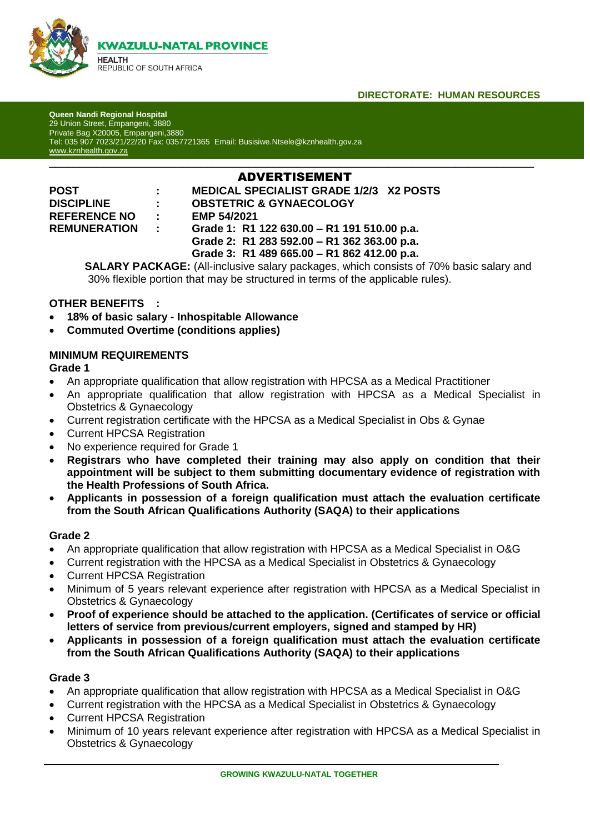

### **DIRECTORATE: HUMAN RESOURCES**

**Queen Nandi Regional Hospital** 29 Union Street, Empangeni, 3880 Private Bag X20005, Empangeni,3880 Tel: 035 907 7023/21/22/20 Fax: 0357721365 Email: Busisiwe.Ntsele@kznhealth.gov.za [www.kznhealth.gov.za](http://www.kznhealth.gov.za/)

# \_\_\_\_\_\_\_\_\_\_\_\_\_\_\_\_\_\_\_\_\_\_\_\_\_\_\_\_\_\_\_\_\_\_\_\_\_\_\_\_\_\_\_\_\_\_\_\_\_\_\_\_\_\_\_\_\_\_\_\_\_\_\_\_\_\_\_\_\_\_\_\_\_\_\_\_\_\_\_\_ ADVERTISEMENT

**REFERENCE NO : EMP 54/2021**

**POST : MEDICAL SPECIALIST GRADE 1/2/3 X2 POSTS DISCIPLINE : OBSTETRIC & GYNAECOLOGY**

**REMUNERATION : Grade 1: R1 122 630.00 – R1 191 510.00 p.a. Grade 2: R1 283 592.00 – R1 362 363.00 p.a.**

 **Grade 3: R1 489 665.00 – R1 862 412.00 p.a.**

**SALARY PACKAGE:** (All-inclusive salary packages, which consists of 70% basic salary and 30% flexible portion that may be structured in terms of the applicable rules).

### **OTHER BENEFITS :**

- **18% of basic salary - Inhospitable Allowance**
- **Commuted Overtime (conditions applies)**

### **MINIMUM REQUIREMENTS**

#### **Grade 1**

- An appropriate qualification that allow registration with HPCSA as a Medical Practitioner
- An appropriate qualification that allow registration with HPCSA as a Medical Specialist in Obstetrics & Gynaecology
- Current registration certificate with the HPCSA as a Medical Specialist in Obs & Gynae
- Current HPCSA Registration
- No experience required for Grade 1
- **Registrars who have completed their training may also apply on condition that their appointment will be subject to them submitting documentary evidence of registration with the Health Professions of South Africa.**
- **Applicants in possession of a foreign qualification must attach the evaluation certificate from the South African Qualifications Authority (SAQA) to their applications**

### **Grade 2**

- An appropriate qualification that allow registration with HPCSA as a Medical Specialist in O&G
- Current registration with the HPCSA as a Medical Specialist in Obstetrics & Gynaecology
- Current HPCSA Registration
- Minimum of 5 years relevant experience after registration with HPCSA as a Medical Specialist in Obstetrics & Gynaecology
- **Proof of experience should be attached to the application. (Certificates of service or official letters of service from previous/current employers, signed and stamped by HR)**
- **Applicants in possession of a foreign qualification must attach the evaluation certificate from the South African Qualifications Authority (SAQA) to their applications**

### **Grade 3**

- An appropriate qualification that allow registration with HPCSA as a Medical Specialist in O&G
- Current registration with the HPCSA as a Medical Specialist in Obstetrics & Gynaecology
- Current HPCSA Registration
- Minimum of 10 years relevant experience after registration with HPCSA as a Medical Specialist in Obstetrics & Gynaecology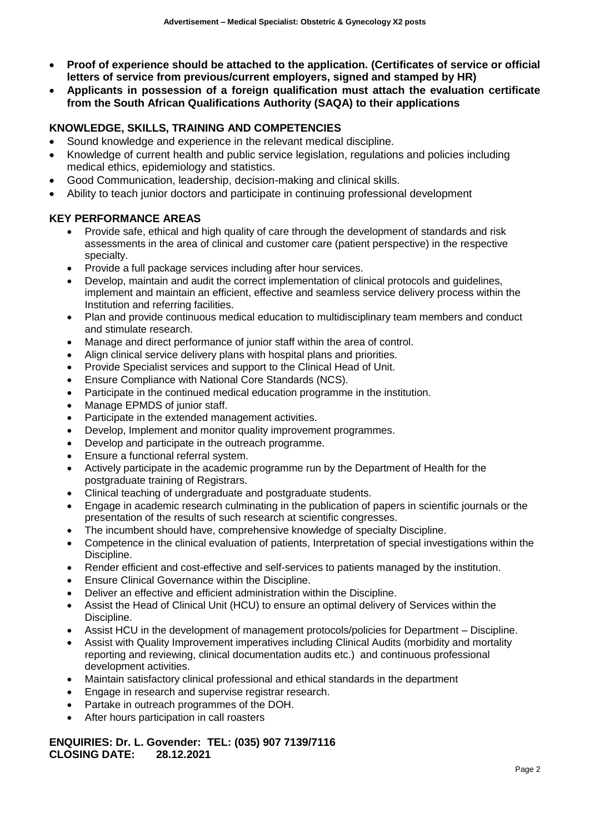- **Proof of experience should be attached to the application. (Certificates of service or official letters of service from previous/current employers, signed and stamped by HR)**
- **Applicants in possession of a foreign qualification must attach the evaluation certificate from the South African Qualifications Authority (SAQA) to their applications**

# **KNOWLEDGE, SKILLS, TRAINING AND COMPETENCIES**

- Sound knowledge and experience in the relevant medical discipline.
- Knowledge of current health and public service legislation, regulations and policies including medical ethics, epidemiology and statistics.
- Good Communication, leadership, decision-making and clinical skills.
- Ability to teach junior doctors and participate in continuing professional development

### **KEY PERFORMANCE AREAS**

- Provide safe, ethical and high quality of care through the development of standards and risk assessments in the area of clinical and customer care (patient perspective) in the respective specialty.
- Provide a full package services including after hour services.
- Develop, maintain and audit the correct implementation of clinical protocols and guidelines, implement and maintain an efficient, effective and seamless service delivery process within the Institution and referring facilities.
- Plan and provide continuous medical education to multidisciplinary team members and conduct and stimulate research.
- Manage and direct performance of junior staff within the area of control.
- Align clinical service delivery plans with hospital plans and priorities.
- Provide Specialist services and support to the Clinical Head of Unit.
- Ensure Compliance with National Core Standards (NCS).
- Participate in the continued medical education programme in the institution.
- Manage EPMDS of junior staff.
- Participate in the extended management activities.
- Develop, Implement and monitor quality improvement programmes.
- Develop and participate in the outreach programme.
- Ensure a functional referral system.
- Actively participate in the academic programme run by the Department of Health for the postgraduate training of Registrars.
- Clinical teaching of undergraduate and postgraduate students.
- Engage in academic research culminating in the publication of papers in scientific journals or the presentation of the results of such research at scientific congresses.
- The incumbent should have, comprehensive knowledge of specialty Discipline.
- Competence in the clinical evaluation of patients, Interpretation of special investigations within the Discipline.
- Render efficient and cost-effective and self-services to patients managed by the institution.
- Ensure Clinical Governance within the Discipline.
- Deliver an effective and efficient administration within the Discipline.
- Assist the Head of Clinical Unit (HCU) to ensure an optimal delivery of Services within the Discipline.
- Assist HCU in the development of management protocols/policies for Department Discipline.
- Assist with Quality Improvement imperatives including Clinical Audits (morbidity and mortality reporting and reviewing, clinical documentation audits etc.) and continuous professional development activities.
- Maintain satisfactory clinical professional and ethical standards in the department
- Engage in research and supervise registrar research.
- Partake in outreach programmes of the DOH.
- After hours participation in call roasters

#### **ENQUIRIES: Dr. L. Govender: TEL: (035) 907 7139/7116 CLOSING DATE: 28.12.2021**